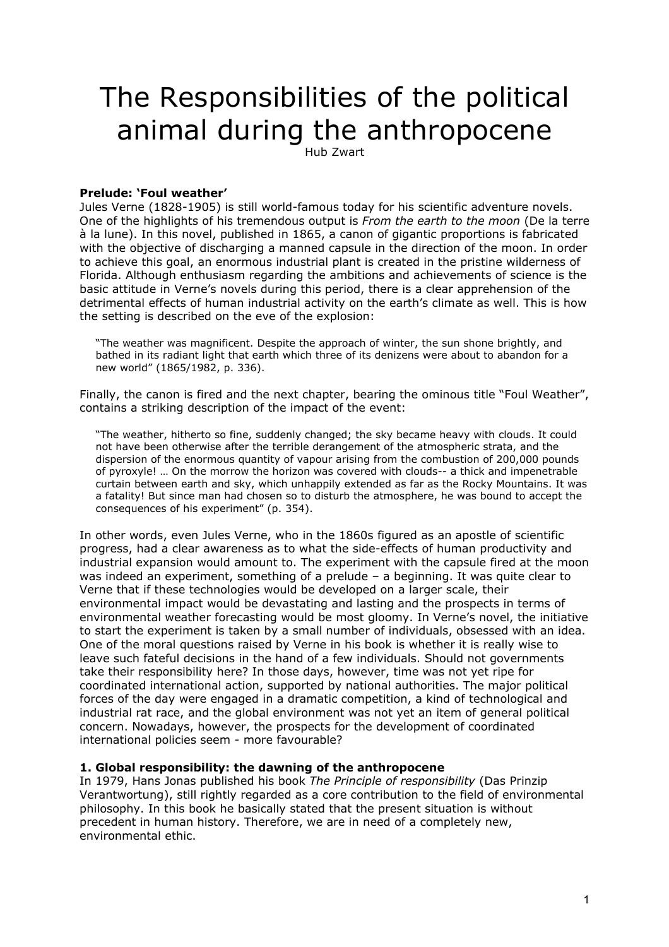# The Responsibilities of the political animal during the anthropocene

Hub Zwart

## **Prelude: 'Foul weather'**

Jules Verne (1828-1905) is still world-famous today for his scientific adventure novels. One of the highlights of his tremendous output is *From the earth to the moon* (De la terre à la lune). In this novel, published in 1865, a canon of gigantic proportions is fabricated with the objective of discharging a manned capsule in the direction of the moon. In order to achieve this goal, an enormous industrial plant is created in the pristine wilderness of Florida. Although enthusiasm regarding the ambitions and achievements of science is the basic attitude in Verne's novels during this period, there is a clear apprehension of the detrimental effects of human industrial activity on the earth's climate as well. This is how the setting is described on the eve of the explosion:

"The weather was magnificent. Despite the approach of winter, the sun shone brightly, and bathed in its radiant light that earth which three of its denizens were about to abandon for a new world" (1865/1982, p. 336).

Finally, the canon is fired and the next chapter, bearing the ominous title "Foul Weather", contains a striking description of the impact of the event:

"The weather, hitherto so fine, suddenly changed; the sky became heavy with clouds. It could not have been otherwise after the terrible derangement of the atmospheric strata, and the dispersion of the enormous quantity of vapour arising from the combustion of 200,000 pounds of pyroxyle! … On the morrow the horizon was covered with clouds-- a thick and impenetrable curtain between earth and sky, which unhappily extended as far as the Rocky Mountains. It was a fatality! But since man had chosen so to disturb the atmosphere, he was bound to accept the consequences of his experiment" (p. 354).

In other words, even Jules Verne, who in the 1860s figured as an apostle of scientific progress, had a clear awareness as to what the side-effects of human productivity and industrial expansion would amount to. The experiment with the capsule fired at the moon was indeed an experiment, something of a prelude – a beginning. It was quite clear to Verne that if these technologies would be developed on a larger scale, their environmental impact would be devastating and lasting and the prospects in terms of environmental weather forecasting would be most gloomy. In Verne's novel, the initiative to start the experiment is taken by a small number of individuals, obsessed with an idea. One of the moral questions raised by Verne in his book is whether it is really wise to leave such fateful decisions in the hand of a few individuals. Should not governments take their responsibility here? In those days, however, time was not yet ripe for coordinated international action, supported by national authorities. The major political forces of the day were engaged in a dramatic competition, a kind of technological and industrial rat race, and the global environment was not yet an item of general political concern. Nowadays, however, the prospects for the development of coordinated international policies seem - more favourable?

### **1. Global responsibility: the dawning of the anthropocene**

In 1979, Hans Jonas published his book *The Principle of responsibility* (Das Prinzip Verantwortung), still rightly regarded as a core contribution to the field of environmental philosophy. In this book he basically stated that the present situation is without precedent in human history. Therefore, we are in need of a completely new, environmental ethic.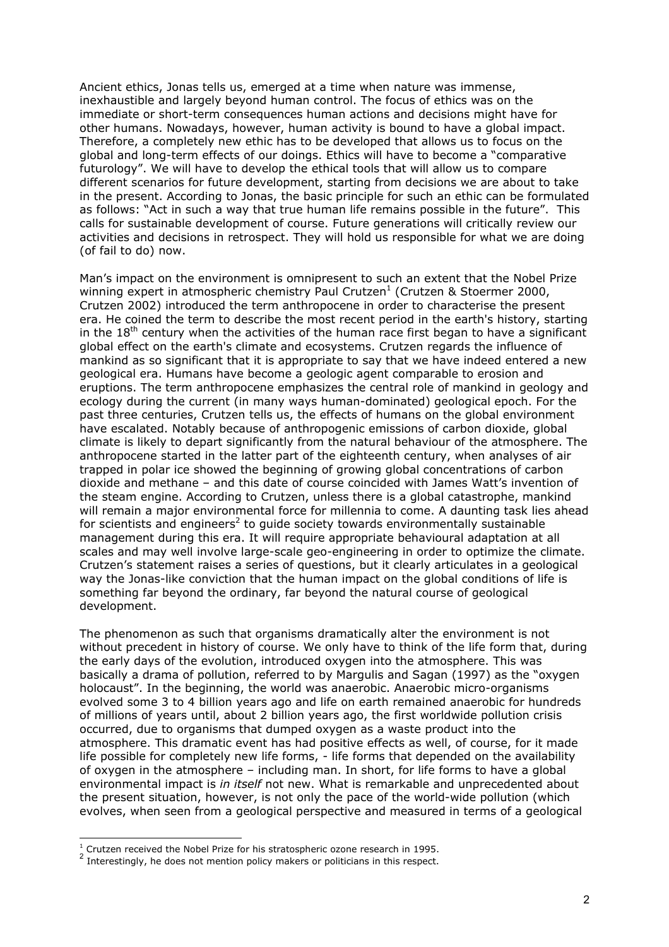Ancient ethics, Jonas tells us, emerged at a time when nature was immense, inexhaustible and largely beyond human control. The focus of ethics was on the immediate or short-term consequences human actions and decisions might have for other humans. Nowadays, however, human activity is bound to have a global impact. Therefore, a completely new ethic has to be developed that allows us to focus on the global and long-term effects of our doings. Ethics will have to become a "comparative futurology". We will have to develop the ethical tools that will allow us to compare different scenarios for future development, starting from decisions we are about to take in the present. According to Jonas, the basic principle for such an ethic can be formulated as follows: "Act in such a way that true human life remains possible in the future". This calls for sustainable development of course. Future generations will critically review our activities and decisions in retrospect. They will hold us responsible for what we are doing (of fail to do) now.

Man's impact on the environment is omnipresent to such an extent that the Nobel Prize winning expert in atmospheric chemistry Paul Crutzen<sup>1</sup> (Crutzen & Stoermer 2000, Crutzen 2002) introduced the term anthropocene in order to characterise the present era. He coined the term to describe the most recent period in the earth's history, starting in the  $18<sup>th</sup>$  century when the activities of the human race first began to have a significant global effect on the earth's climate and ecosystems. Crutzen regards the influence of mankind as so significant that it is appropriate to say that we have indeed entered a new geological era. Humans have become a geologic agent comparable to erosion and eruptions. The term anthropocene emphasizes the central role of mankind in geology and ecology during the current (in many ways human-dominated) geological epoch. For the past three centuries, Crutzen tells us, the effects of humans on the global environment have escalated. Notably because of anthropogenic emissions of carbon dioxide, global climate is likely to depart significantly from the natural behaviour of the atmosphere. The anthropocene started in the latter part of the eighteenth century, when analyses of air trapped in polar ice showed the beginning of growing global concentrations of carbon dioxide and methane – and this date of course coincided with James Watt's invention of the steam engine. According to Crutzen, unless there is a global catastrophe, mankind will remain a major environmental force for millennia to come. A daunting task lies ahead for scientists and engineers<sup>2</sup> to guide society towards environmentally sustainable management during this era. It will require appropriate behavioural adaptation at all scales and may well involve large-scale geo-engineering in order to optimize the climate. Crutzen's statement raises a series of questions, but it clearly articulates in a geological way the Jonas-like conviction that the human impact on the global conditions of life is something far beyond the ordinary, far beyond the natural course of geological development.

The phenomenon as such that organisms dramatically alter the environment is not without precedent in history of course. We only have to think of the life form that, during the early days of the evolution, introduced oxygen into the atmosphere. This was basically a drama of pollution, referred to by Margulis and Sagan (1997) as the "oxygen holocaust". In the beginning, the world was anaerobic. Anaerobic micro-organisms evolved some 3 to 4 billion years ago and life on earth remained anaerobic for hundreds of millions of years until, about 2 billion years ago, the first worldwide pollution crisis occurred, due to organisms that dumped oxygen as a waste product into the atmosphere. This dramatic event has had positive effects as well, of course, for it made life possible for completely new life forms, - life forms that depended on the availability of oxygen in the atmosphere – including man. In short, for life forms to have a global environmental impact is *in itself* not new. What is remarkable and unprecedented about the present situation, however, is not only the pace of the world-wide pollution (which evolves, when seen from a geological perspective and measured in terms of a geological

-

<span id="page-1-0"></span> $1$  Crutzen received the Nobel Prize for his stratospheric ozone research in 1995.

<span id="page-1-1"></span><sup>2</sup> Interestingly, he does not mention policy makers or politicians in this respect.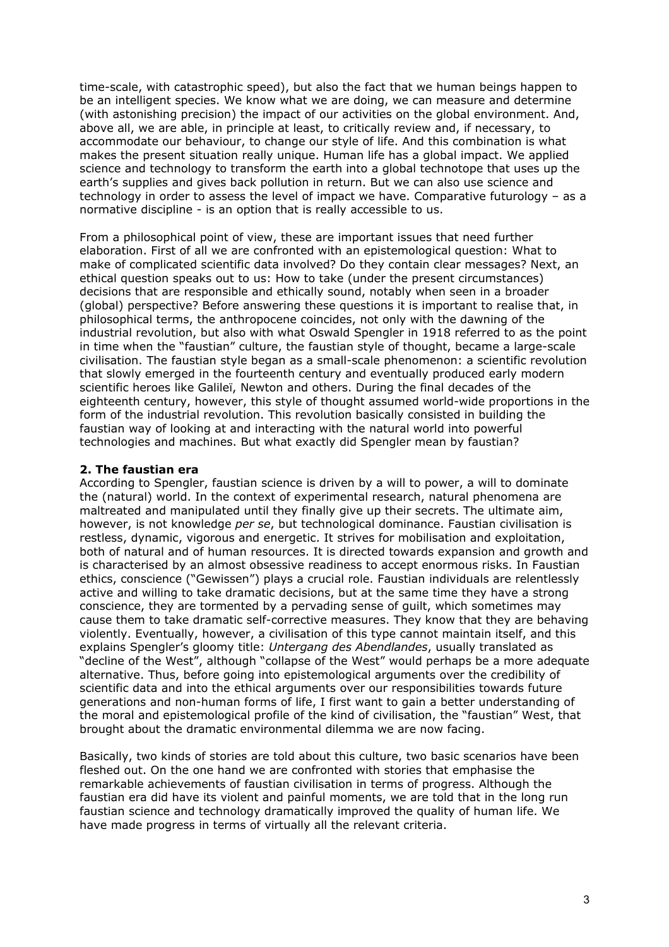time-scale, with catastrophic speed), but also the fact that we human beings happen to be an intelligent species. We know what we are doing, we can measure and determine (with astonishing precision) the impact of our activities on the global environment. And, above all, we are able, in principle at least, to critically review and, if necessary, to accommodate our behaviour, to change our style of life. And this combination is what makes the present situation really unique. Human life has a global impact. We applied science and technology to transform the earth into a global technotope that uses up the earth's supplies and gives back pollution in return. But we can also use science and technology in order to assess the level of impact we have. Comparative futurology – as a normative discipline - is an option that is really accessible to us.

From a philosophical point of view, these are important issues that need further elaboration. First of all we are confronted with an epistemological question: What to make of complicated scientific data involved? Do they contain clear messages? Next, an ethical question speaks out to us: How to take (under the present circumstances) decisions that are responsible and ethically sound, notably when seen in a broader (global) perspective? Before answering these questions it is important to realise that, in philosophical terms, the anthropocene coincides, not only with the dawning of the industrial revolution, but also with what Oswald Spengler in 1918 referred to as the point in time when the "faustian" culture, the faustian style of thought, became a large-scale civilisation. The faustian style began as a small-scale phenomenon: a scientific revolution that slowly emerged in the fourteenth century and eventually produced early modern scientific heroes like Galileï, Newton and others. During the final decades of the eighteenth century, however, this style of thought assumed world-wide proportions in the form of the industrial revolution. This revolution basically consisted in building the faustian way of looking at and interacting with the natural world into powerful technologies and machines. But what exactly did Spengler mean by faustian?

## **2. The faustian era**

According to Spengler, faustian science is driven by a will to power, a will to dominate the (natural) world. In the context of experimental research, natural phenomena are maltreated and manipulated until they finally give up their secrets. The ultimate aim, however, is not knowledge *per se*, but technological dominance. Faustian civilisation is restless, dynamic, vigorous and energetic. It strives for mobilisation and exploitation, both of natural and of human resources. It is directed towards expansion and growth and is characterised by an almost obsessive readiness to accept enormous risks. In Faustian ethics, conscience ("Gewissen") plays a crucial role. Faustian individuals are relentlessly active and willing to take dramatic decisions, but at the same time they have a strong conscience, they are tormented by a pervading sense of guilt, which sometimes may cause them to take dramatic self-corrective measures. They know that they are behaving violently. Eventually, however, a civilisation of this type cannot maintain itself, and this explains Spengler's gloomy title: *Untergang des Abendlandes*, usually translated as "decline of the West", although "collapse of the West" would perhaps be a more adequate alternative. Thus, before going into epistemological arguments over the credibility of scientific data and into the ethical arguments over our responsibilities towards future generations and non-human forms of life, I first want to gain a better understanding of the moral and epistemological profile of the kind of civilisation, the "faustian" West, that brought about the dramatic environmental dilemma we are now facing.

Basically, two kinds of stories are told about this culture, two basic scenarios have been fleshed out. On the one hand we are confronted with stories that emphasise the remarkable achievements of faustian civilisation in terms of progress. Although the faustian era did have its violent and painful moments, we are told that in the long run faustian science and technology dramatically improved the quality of human life. We have made progress in terms of virtually all the relevant criteria.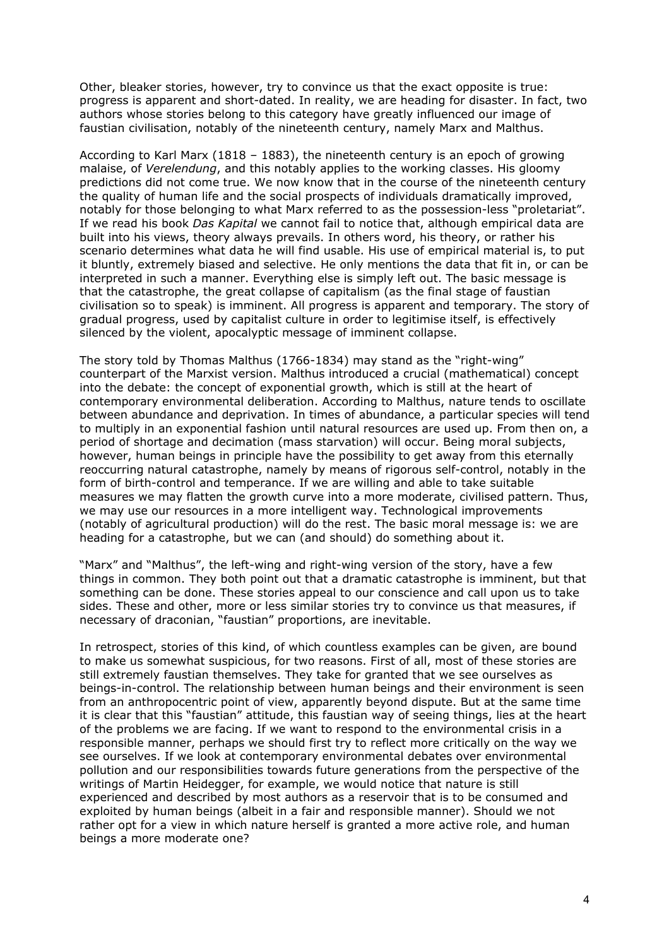Other, bleaker stories, however, try to convince us that the exact opposite is true: progress is apparent and short-dated. In reality, we are heading for disaster. In fact, two authors whose stories belong to this category have greatly influenced our image of faustian civilisation, notably of the nineteenth century, namely Marx and Malthus.

According to Karl Marx (1818 – 1883), the nineteenth century is an epoch of growing malaise, of *Verelendung*, and this notably applies to the working classes. His gloomy predictions did not come true. We now know that in the course of the nineteenth century the quality of human life and the social prospects of individuals dramatically improved, notably for those belonging to what Marx referred to as the possession-less "proletariat". If we read his book *Das Kapital* we cannot fail to notice that, although empirical data are built into his views, theory always prevails. In others word, his theory, or rather his scenario determines what data he will find usable. His use of empirical material is, to put it bluntly, extremely biased and selective. He only mentions the data that fit in, or can be interpreted in such a manner. Everything else is simply left out. The basic message is that the catastrophe, the great collapse of capitalism (as the final stage of faustian civilisation so to speak) is imminent. All progress is apparent and temporary. The story of gradual progress, used by capitalist culture in order to legitimise itself, is effectively silenced by the violent, apocalyptic message of imminent collapse.

The story told by Thomas Malthus (1766-1834) may stand as the "right-wing" counterpart of the Marxist version. Malthus introduced a crucial (mathematical) concept into the debate: the concept of exponential growth, which is still at the heart of contemporary environmental deliberation. According to Malthus, nature tends to oscillate between abundance and deprivation. In times of abundance, a particular species will tend to multiply in an exponential fashion until natural resources are used up. From then on, a period of shortage and decimation (mass starvation) will occur. Being moral subjects, however, human beings in principle have the possibility to get away from this eternally reoccurring natural catastrophe, namely by means of rigorous self-control, notably in the form of birth-control and temperance. If we are willing and able to take suitable measures we may flatten the growth curve into a more moderate, civilised pattern. Thus, we may use our resources in a more intelligent way. Technological improvements (notably of agricultural production) will do the rest. The basic moral message is: we are heading for a catastrophe, but we can (and should) do something about it.

"Marx" and "Malthus", the left-wing and right-wing version of the story, have a few things in common. They both point out that a dramatic catastrophe is imminent, but that something can be done. These stories appeal to our conscience and call upon us to take sides. These and other, more or less similar stories try to convince us that measures, if necessary of draconian, "faustian" proportions, are inevitable.

In retrospect, stories of this kind, of which countless examples can be given, are bound to make us somewhat suspicious, for two reasons. First of all, most of these stories are still extremely faustian themselves. They take for granted that we see ourselves as beings-in-control. The relationship between human beings and their environment is seen from an anthropocentric point of view, apparently beyond dispute. But at the same time it is clear that this "faustian" attitude, this faustian way of seeing things, lies at the heart of the problems we are facing. If we want to respond to the environmental crisis in a responsible manner, perhaps we should first try to reflect more critically on the way we see ourselves. If we look at contemporary environmental debates over environmental pollution and our responsibilities towards future generations from the perspective of the writings of Martin Heidegger, for example, we would notice that nature is still experienced and described by most authors as a reservoir that is to be consumed and exploited by human beings (albeit in a fair and responsible manner). Should we not rather opt for a view in which nature herself is granted a more active role, and human beings a more moderate one?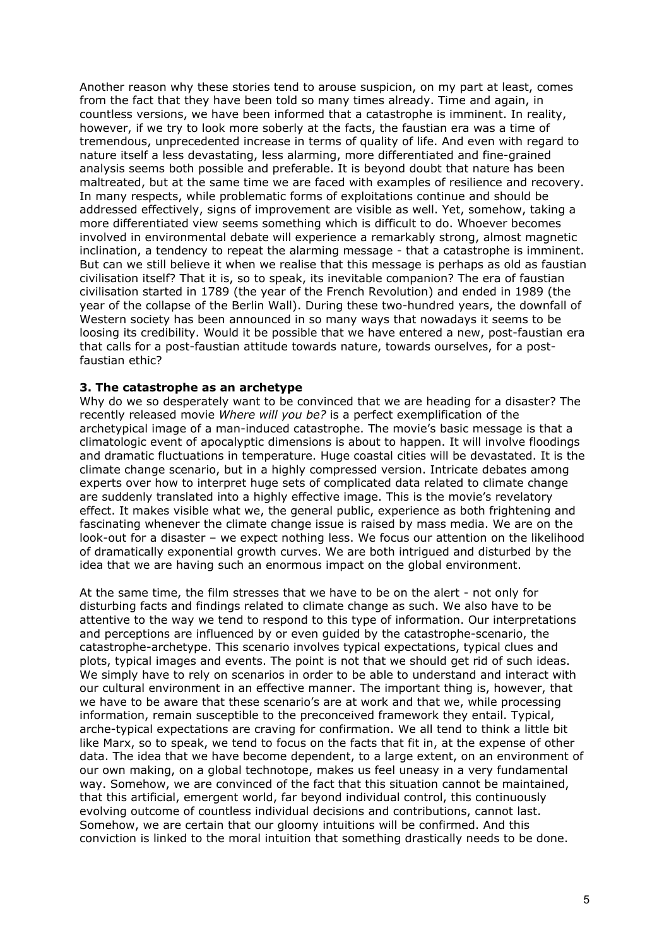Another reason why these stories tend to arouse suspicion, on my part at least, comes from the fact that they have been told so many times already. Time and again, in countless versions, we have been informed that a catastrophe is imminent. In reality, however, if we try to look more soberly at the facts, the faustian era was a time of tremendous, unprecedented increase in terms of quality of life. And even with regard to nature itself a less devastating, less alarming, more differentiated and fine-grained analysis seems both possible and preferable. It is beyond doubt that nature has been maltreated, but at the same time we are faced with examples of resilience and recovery. In many respects, while problematic forms of exploitations continue and should be addressed effectively, signs of improvement are visible as well. Yet, somehow, taking a more differentiated view seems something which is difficult to do. Whoever becomes involved in environmental debate will experience a remarkably strong, almost magnetic inclination, a tendency to repeat the alarming message - that a catastrophe is imminent. But can we still believe it when we realise that this message is perhaps as old as faustian civilisation itself? That it is, so to speak, its inevitable companion? The era of faustian civilisation started in 1789 (the year of the French Revolution) and ended in 1989 (the year of the collapse of the Berlin Wall). During these two-hundred years, the downfall of Western society has been announced in so many ways that nowadays it seems to be loosing its credibility. Would it be possible that we have entered a new, post-faustian era that calls for a post-faustian attitude towards nature, towards ourselves, for a postfaustian ethic?

### **3. The catastrophe as an archetype**

Why do we so desperately want to be convinced that we are heading for a disaster? The recently released movie *Where will you be?* is a perfect exemplification of the archetypical image of a man-induced catastrophe. The movie's basic message is that a climatologic event of apocalyptic dimensions is about to happen. It will involve floodings and dramatic fluctuations in temperature. Huge coastal cities will be devastated. It is the climate change scenario, but in a highly compressed version. Intricate debates among experts over how to interpret huge sets of complicated data related to climate change are suddenly translated into a highly effective image. This is the movie's revelatory effect. It makes visible what we, the general public, experience as both frightening and fascinating whenever the climate change issue is raised by mass media. We are on the look-out for a disaster – we expect nothing less. We focus our attention on the likelihood of dramatically exponential growth curves. We are both intrigued and disturbed by the idea that we are having such an enormous impact on the global environment.

At the same time, the film stresses that we have to be on the alert - not only for disturbing facts and findings related to climate change as such. We also have to be attentive to the way we tend to respond to this type of information. Our interpretations and perceptions are influenced by or even guided by the catastrophe-scenario, the catastrophe-archetype. This scenario involves typical expectations, typical clues and plots, typical images and events. The point is not that we should get rid of such ideas. We simply have to rely on scenarios in order to be able to understand and interact with our cultural environment in an effective manner. The important thing is, however, that we have to be aware that these scenario's are at work and that we, while processing information, remain susceptible to the preconceived framework they entail. Typical, arche-typical expectations are craving for confirmation. We all tend to think a little bit like Marx, so to speak, we tend to focus on the facts that fit in, at the expense of other data. The idea that we have become dependent, to a large extent, on an environment of our own making, on a global technotope, makes us feel uneasy in a very fundamental way. Somehow, we are convinced of the fact that this situation cannot be maintained, that this artificial, emergent world, far beyond individual control, this continuously evolving outcome of countless individual decisions and contributions, cannot last. Somehow, we are certain that our gloomy intuitions will be confirmed. And this conviction is linked to the moral intuition that something drastically needs to be done.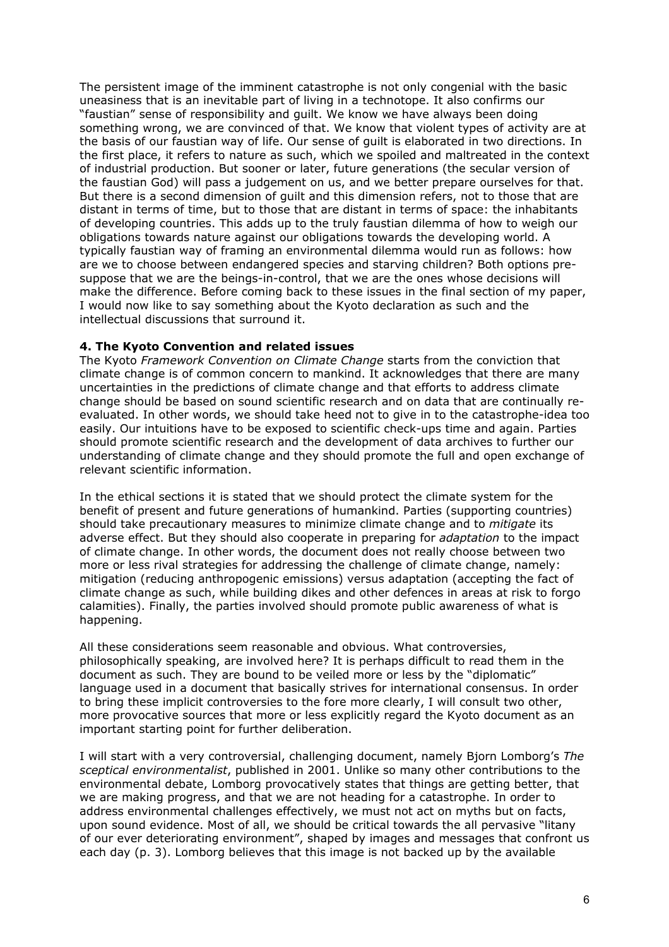The persistent image of the imminent catastrophe is not only congenial with the basic uneasiness that is an inevitable part of living in a technotope. It also confirms our "faustian" sense of responsibility and guilt. We know we have always been doing something wrong, we are convinced of that. We know that violent types of activity are at the basis of our faustian way of life. Our sense of guilt is elaborated in two directions. In the first place, it refers to nature as such, which we spoiled and maltreated in the context of industrial production. But sooner or later, future generations (the secular version of the faustian God) will pass a judgement on us, and we better prepare ourselves for that. But there is a second dimension of guilt and this dimension refers, not to those that are distant in terms of time, but to those that are distant in terms of space: the inhabitants of developing countries. This adds up to the truly faustian dilemma of how to weigh our obligations towards nature against our obligations towards the developing world. A typically faustian way of framing an environmental dilemma would run as follows: how are we to choose between endangered species and starving children? Both options presuppose that we are the beings-in-control, that we are the ones whose decisions will make the difference. Before coming back to these issues in the final section of my paper, I would now like to say something about the Kyoto declaration as such and the intellectual discussions that surround it.

## **4. The Kyoto Convention and related issues**

The Kyoto *Framework Convention on Climate Change* starts from the conviction that climate change is of common concern to mankind. It acknowledges that there are many uncertainties in the predictions of climate change and that efforts to address climate change should be based on sound scientific research and on data that are continually reevaluated. In other words, we should take heed not to give in to the catastrophe-idea too easily. Our intuitions have to be exposed to scientific check-ups time and again. Parties should promote scientific research and the development of data archives to further our understanding of climate change and they should promote the full and open exchange of relevant scientific information.

In the ethical sections it is stated that we should protect the climate system for the benefit of present and future generations of humankind. Parties (supporting countries) should take precautionary measures to minimize climate change and to *mitigate* its adverse effect. But they should also cooperate in preparing for *adaptation* to the impact of climate change. In other words, the document does not really choose between two more or less rival strategies for addressing the challenge of climate change, namely: mitigation (reducing anthropogenic emissions) versus adaptation (accepting the fact of climate change as such, while building dikes and other defences in areas at risk to forgo calamities). Finally, the parties involved should promote public awareness of what is happening.

All these considerations seem reasonable and obvious. What controversies, philosophically speaking, are involved here? It is perhaps difficult to read them in the document as such. They are bound to be veiled more or less by the "diplomatic" language used in a document that basically strives for international consensus. In order to bring these implicit controversies to the fore more clearly, I will consult two other, more provocative sources that more or less explicitly regard the Kyoto document as an important starting point for further deliberation.

I will start with a very controversial, challenging document, namely Bjorn Lomborg's *The sceptical environmentalist*, published in 2001. Unlike so many other contributions to the environmental debate, Lomborg provocatively states that things are getting better, that we are making progress, and that we are not heading for a catastrophe. In order to address environmental challenges effectively, we must not act on myths but on facts, upon sound evidence. Most of all, we should be critical towards the all pervasive "litany of our ever deteriorating environment", shaped by images and messages that confront us each day (p. 3). Lomborg believes that this image is not backed up by the available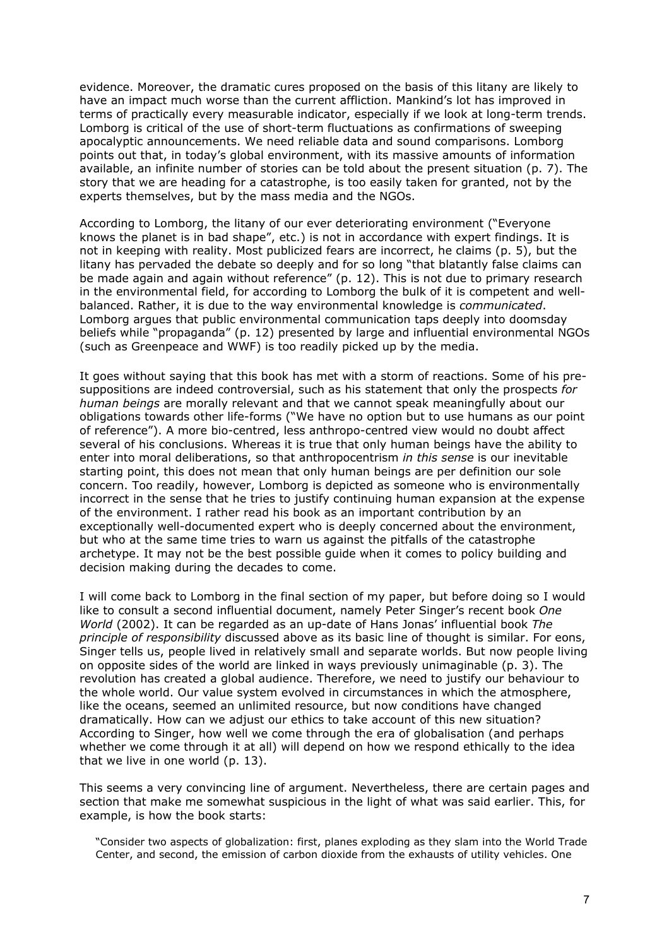evidence. Moreover, the dramatic cures proposed on the basis of this litany are likely to have an impact much worse than the current affliction. Mankind's lot has improved in terms of practically every measurable indicator, especially if we look at long-term trends. Lomborg is critical of the use of short-term fluctuations as confirmations of sweeping apocalyptic announcements. We need reliable data and sound comparisons. Lomborg points out that, in today's global environment, with its massive amounts of information available, an infinite number of stories can be told about the present situation (p. 7). The story that we are heading for a catastrophe, is too easily taken for granted, not by the experts themselves, but by the mass media and the NGOs.

According to Lomborg, the litany of our ever deteriorating environment ("Everyone knows the planet is in bad shape", etc.) is not in accordance with expert findings. It is not in keeping with reality. Most publicized fears are incorrect, he claims (p. 5), but the litany has pervaded the debate so deeply and for so long "that blatantly false claims can be made again and again without reference" (p. 12). This is not due to primary research in the environmental field, for according to Lomborg the bulk of it is competent and wellbalanced. Rather, it is due to the way environmental knowledge is *communicated*. Lomborg argues that public environmental communication taps deeply into doomsday beliefs while "propaganda" (p. 12) presented by large and influential environmental NGOs (such as Greenpeace and WWF) is too readily picked up by the media.

It goes without saying that this book has met with a storm of reactions. Some of his presuppositions are indeed controversial, such as his statement that only the prospects *for human beings* are morally relevant and that we cannot speak meaningfully about our obligations towards other life-forms ("We have no option but to use humans as our point of reference"). A more bio-centred, less anthropo-centred view would no doubt affect several of his conclusions. Whereas it is true that only human beings have the ability to enter into moral deliberations, so that anthropocentrism *in this sense* is our inevitable starting point, this does not mean that only human beings are per definition our sole concern. Too readily, however, Lomborg is depicted as someone who is environmentally incorrect in the sense that he tries to justify continuing human expansion at the expense of the environment. I rather read his book as an important contribution by an exceptionally well-documented expert who is deeply concerned about the environment, but who at the same time tries to warn us against the pitfalls of the catastrophe archetype. It may not be the best possible guide when it comes to policy building and decision making during the decades to come.

I will come back to Lomborg in the final section of my paper, but before doing so I would like to consult a second influential document, namely Peter Singer's recent book *One World* (2002). It can be regarded as an up-date of Hans Jonas' influential book *The principle of responsibility* discussed above as its basic line of thought is similar. For eons, Singer tells us, people lived in relatively small and separate worlds. But now people living on opposite sides of the world are linked in ways previously unimaginable (p. 3). The revolution has created a global audience. Therefore, we need to justify our behaviour to the whole world. Our value system evolved in circumstances in which the atmosphere, like the oceans, seemed an unlimited resource, but now conditions have changed dramatically. How can we adjust our ethics to take account of this new situation? According to Singer, how well we come through the era of globalisation (and perhaps whether we come through it at all) will depend on how we respond ethically to the idea that we live in one world (p. 13).

This seems a very convincing line of argument. Nevertheless, there are certain pages and section that make me somewhat suspicious in the light of what was said earlier. This, for example, is how the book starts:

"Consider two aspects of globalization: first, planes exploding as they slam into the World Trade Center, and second, the emission of carbon dioxide from the exhausts of utility vehicles. One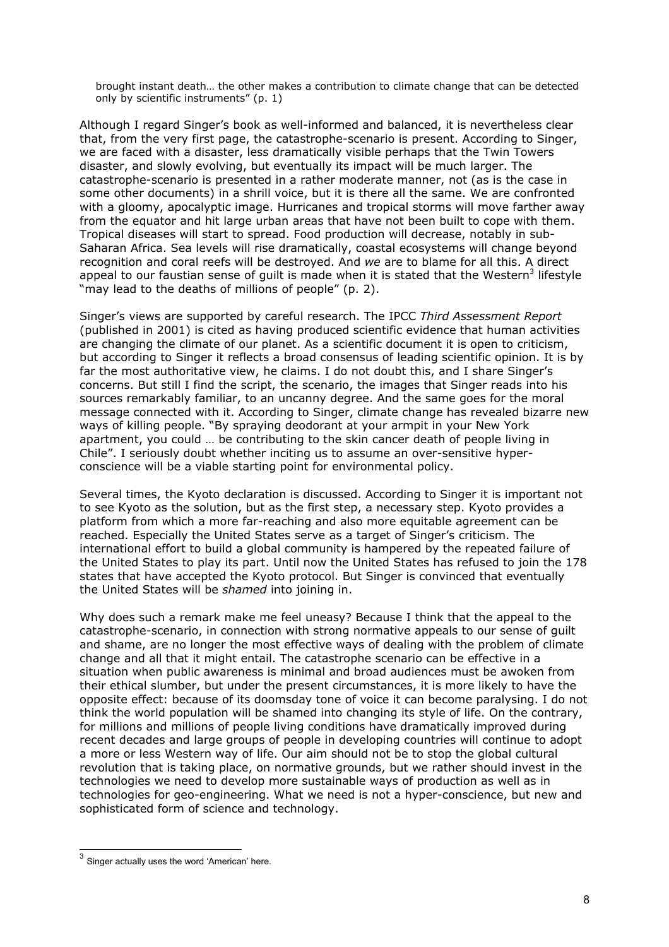brought instant death… the other makes a contribution to climate change that can be detected only by scientific instruments" (p. 1)

Although I regard Singer's book as well-informed and balanced, it is nevertheless clear that, from the very first page, the catastrophe-scenario is present. According to Singer, we are faced with a disaster, less dramatically visible perhaps that the Twin Towers disaster, and slowly evolving, but eventually its impact will be much larger. The catastrophe-scenario is presented in a rather moderate manner, not (as is the case in some other documents) in a shrill voice, but it is there all the same. We are confronted with a gloomy, apocalyptic image. Hurricanes and tropical storms will move farther away from the equator and hit large urban areas that have not been built to cope with them. Tropical diseases will start to spread. Food production will decrease, notably in sub-Saharan Africa. Sea levels will rise dramatically, coastal ecosystems will change beyond recognition and coral reefs will be destroyed. And *we* are to blame for all this. A direct appeal to our faustian sense of guilt is made when it is stated that the Western<sup>3</sup> lifestyle "may lead to the deaths of millions of people" (p. 2).

Singer's views are supported by careful research. The IPCC *Third Assessment Report* (published in 2001) is cited as having produced scientific evidence that human activities are changing the climate of our planet. As a scientific document it is open to criticism, but according to Singer it reflects a broad consensus of leading scientific opinion. It is by far the most authoritative view, he claims. I do not doubt this, and I share Singer's concerns. But still I find the script, the scenario, the images that Singer reads into his sources remarkably familiar, to an uncanny degree. And the same goes for the moral message connected with it. According to Singer, climate change has revealed bizarre new ways of killing people. "By spraying deodorant at your armpit in your New York apartment, you could … be contributing to the skin cancer death of people living in Chile". I seriously doubt whether inciting us to assume an over-sensitive hyperconscience will be a viable starting point for environmental policy.

Several times, the Kyoto declaration is discussed. According to Singer it is important not to see Kyoto as the solution, but as the first step, a necessary step. Kyoto provides a platform from which a more far-reaching and also more equitable agreement can be reached. Especially the United States serve as a target of Singer's criticism. The international effort to build a global community is hampered by the repeated failure of the United States to play its part. Until now the United States has refused to join the 178 states that have accepted the Kyoto protocol. But Singer is convinced that eventually the United States will be *shamed* into joining in.

Why does such a remark make me feel uneasy? Because I think that the appeal to the catastrophe-scenario, in connection with strong normative appeals to our sense of guilt and shame, are no longer the most effective ways of dealing with the problem of climate change and all that it might entail. The catastrophe scenario can be effective in a situation when public awareness is minimal and broad audiences must be awoken from their ethical slumber, but under the present circumstances, it is more likely to have the opposite effect: because of its doomsday tone of voice it can become paralysing. I do not think the world population will be shamed into changing its style of life. On the contrary, for millions and millions of people living conditions have dramatically improved during recent decades and large groups of people in developing countries will continue to adopt a more or less Western way of life. Our aim should not be to stop the global cultural revolution that is taking place, on normative grounds, but we rather should invest in the technologies we need to develop more sustainable ways of production as well as in technologies for geo-engineering. What we need is not a hyper-conscience, but new and sophisticated form of science and technology.

<span id="page-7-0"></span> $3$  Singer actually uses the word 'American' here.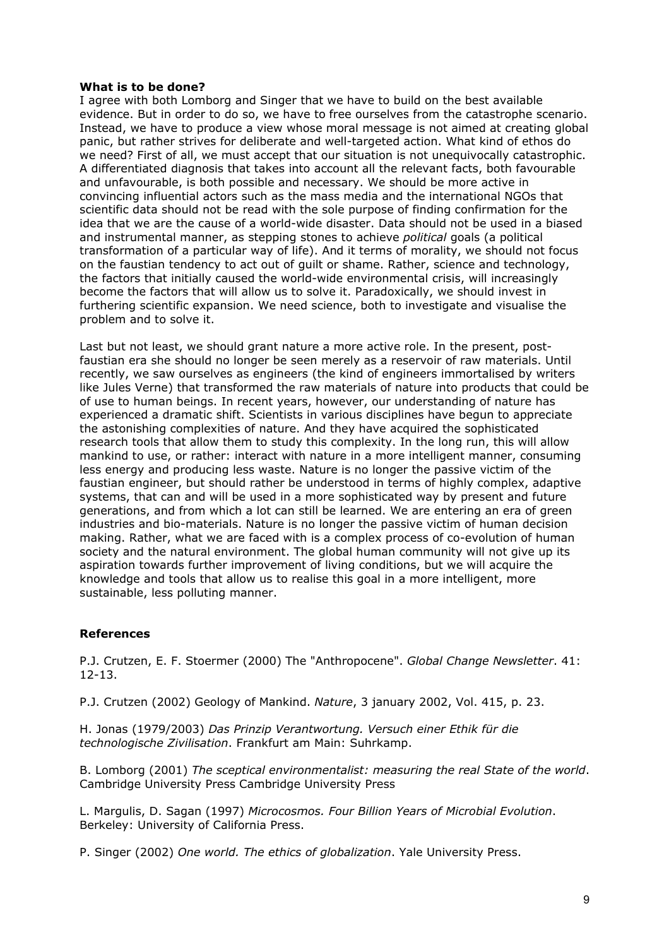#### **What is to be done?**

I agree with both Lomborg and Singer that we have to build on the best available evidence. But in order to do so, we have to free ourselves from the catastrophe scenario. Instead, we have to produce a view whose moral message is not aimed at creating global panic, but rather strives for deliberate and well-targeted action. What kind of ethos do we need? First of all, we must accept that our situation is not unequivocally catastrophic. A differentiated diagnosis that takes into account all the relevant facts, both favourable and unfavourable, is both possible and necessary. We should be more active in convincing influential actors such as the mass media and the international NGOs that scientific data should not be read with the sole purpose of finding confirmation for the idea that we are the cause of a world-wide disaster. Data should not be used in a biased and instrumental manner, as stepping stones to achieve *political* goals (a political transformation of a particular way of life). And it terms of morality, we should not focus on the faustian tendency to act out of guilt or shame. Rather, science and technology, the factors that initially caused the world-wide environmental crisis, will increasingly become the factors that will allow us to solve it. Paradoxically, we should invest in furthering scientific expansion. We need science, both to investigate and visualise the problem and to solve it.

Last but not least, we should grant nature a more active role. In the present, postfaustian era she should no longer be seen merely as a reservoir of raw materials. Until recently, we saw ourselves as engineers (the kind of engineers immortalised by writers like Jules Verne) that transformed the raw materials of nature into products that could be of use to human beings. In recent years, however, our understanding of nature has experienced a dramatic shift. Scientists in various disciplines have begun to appreciate the astonishing complexities of nature. And they have acquired the sophisticated research tools that allow them to study this complexity. In the long run, this will allow mankind to use, or rather: interact with nature in a more intelligent manner, consuming less energy and producing less waste. Nature is no longer the passive victim of the faustian engineer, but should rather be understood in terms of highly complex, adaptive systems, that can and will be used in a more sophisticated way by present and future generations, and from which a lot can still be learned. We are entering an era of green industries and bio-materials. Nature is no longer the passive victim of human decision making. Rather, what we are faced with is a complex process of co-evolution of human society and the natural environment. The global human community will not give up its aspiration towards further improvement of living conditions, but we will acquire the knowledge and tools that allow us to realise this goal in a more intelligent, more sustainable, less polluting manner.

### **References**

P.J. Crutzen, E. F. Stoermer (2000) The "Anthropocene". *Global Change Newsletter*. 41: 12-13.

P.J. Crutzen (2002) Geology of Mankind. *Nature*, 3 january 2002, Vol. 415, p. 23.

H. Jonas (1979/2003) *Das Prinzip Verantwortung. Versuch einer Ethik für die technologische Zivilisation*. Frankfurt am Main: Suhrkamp.

B. Lomborg (2001) *The sceptical environmentalist: measuring the real State of the world*. Cambridge University Press Cambridge University Press

L. Margulis, D. Sagan (1997) *Microcosmos. Four Billion Years of Microbial Evolution*. Berkeley: University of California Press.

P. Singer (2002) *One world. The ethics of globalization*. Yale University Press.